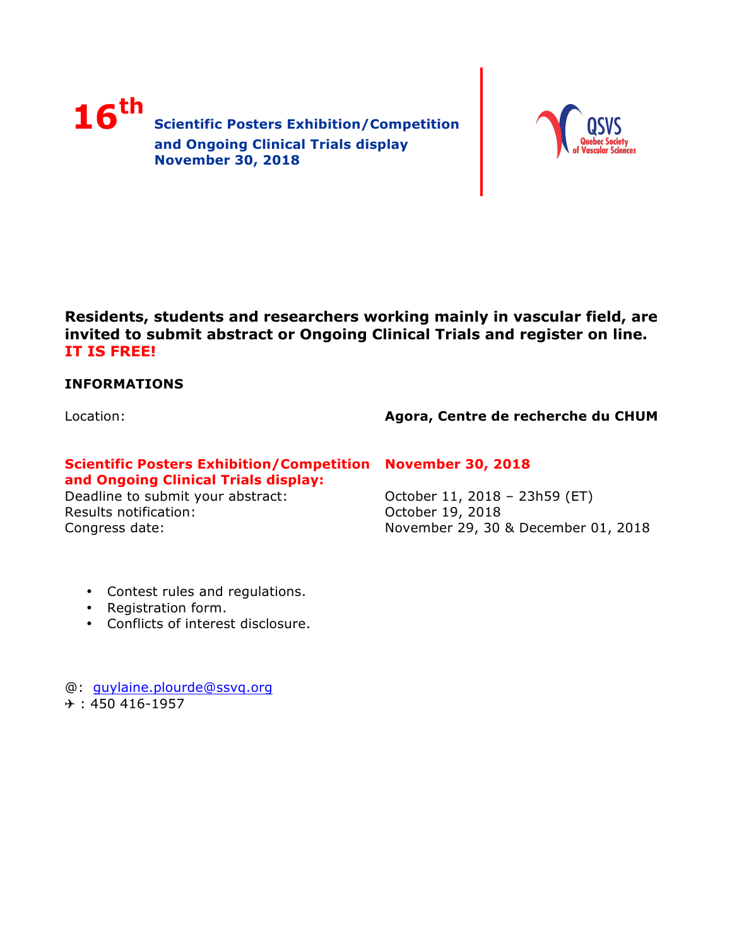



**Residents, students and researchers working mainly in vascular field, are invited to submit abstract or Ongoing Clinical Trials and register on line. IT IS FREE!** 

# **INFORMATIONS**

Location:

# **Agora, Centre de recherche du CHUM**

# **Scientific Posters Exhibition/Competition November 30, 2018 and Ongoing Clinical Trials display:**

Deadline to submit your abstract: Results notification: Congress date:

October 11, 2018 – 23h59 (ET) October 19, 2018 November 29, 30 & December 01, 2018

- Contest rules and regulations.
- Registration form.
- Conflicts of interest disclosure.

@: guylaine.plourde@ssvq.org  $+$  : 450 416-1957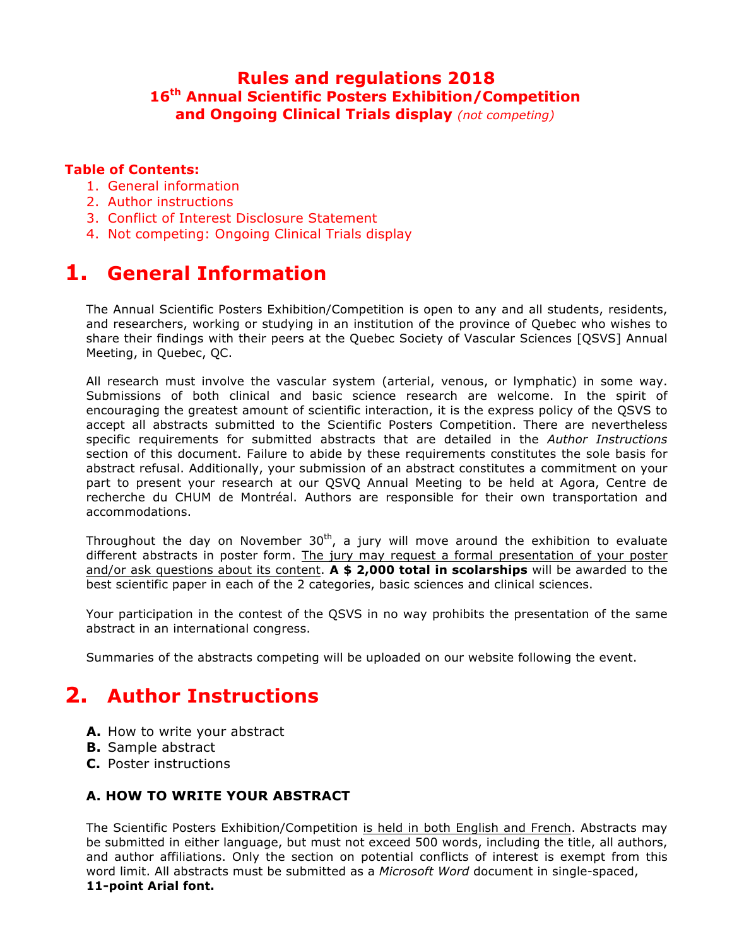# **Rules and regulations 2018 16th Annual Scientific Posters Exhibition/Competition and Ongoing Clinical Trials display** *(not competing)*

# **Table of Contents:**

- 1. General information
- 2. Author instructions
- 3. Conflict of Interest Disclosure Statement
- 4. Not competing: Ongoing Clinical Trials display

# **1. General Information**

The Annual Scientific Posters Exhibition/Competition is open to any and all students, residents, and researchers, working or studying in an institution of the province of Quebec who wishes to share their findings with their peers at the Quebec Society of Vascular Sciences [QSVS] Annual Meeting, in Quebec, QC.

All research must involve the vascular system (arterial, venous, or lymphatic) in some way. Submissions of both clinical and basic science research are welcome. In the spirit of encouraging the greatest amount of scientific interaction, it is the express policy of the QSVS to accept all abstracts submitted to the Scientific Posters Competition. There are nevertheless specific requirements for submitted abstracts that are detailed in the *Author Instructions* section of this document. Failure to abide by these requirements constitutes the sole basis for abstract refusal. Additionally, your submission of an abstract constitutes a commitment on your part to present your research at our QSVQ Annual Meeting to be held at Agora, Centre de recherche du CHUM de Montréal. Authors are responsible for their own transportation and accommodations.

Throughout the day on November  $30<sup>th</sup>$ , a jury will move around the exhibition to evaluate different abstracts in poster form. The jury may request a formal presentation of your poster and/or ask questions about its content. **A \$ 2,000 total in scolarships** will be awarded to the best scientific paper in each of the 2 categories, basic sciences and clinical sciences.

Your participation in the contest of the QSVS in no way prohibits the presentation of the same abstract in an international congress.

Summaries of the abstracts competing will be uploaded on our website following the event.

# **2. Author Instructions**

- **A.** How to write your abstract
- **B.** Sample abstract
- **C.** Poster instructions

# **A. HOW TO WRITE YOUR ABSTRACT**

The Scientific Posters Exhibition/Competition is held in both English and French. Abstracts may be submitted in either language, but must not exceed 500 words, including the title, all authors, and author affiliations. Only the section on potential conflicts of interest is exempt from this word limit. All abstracts must be submitted as a *Microsoft Word* document in single-spaced, **11-point Arial font.**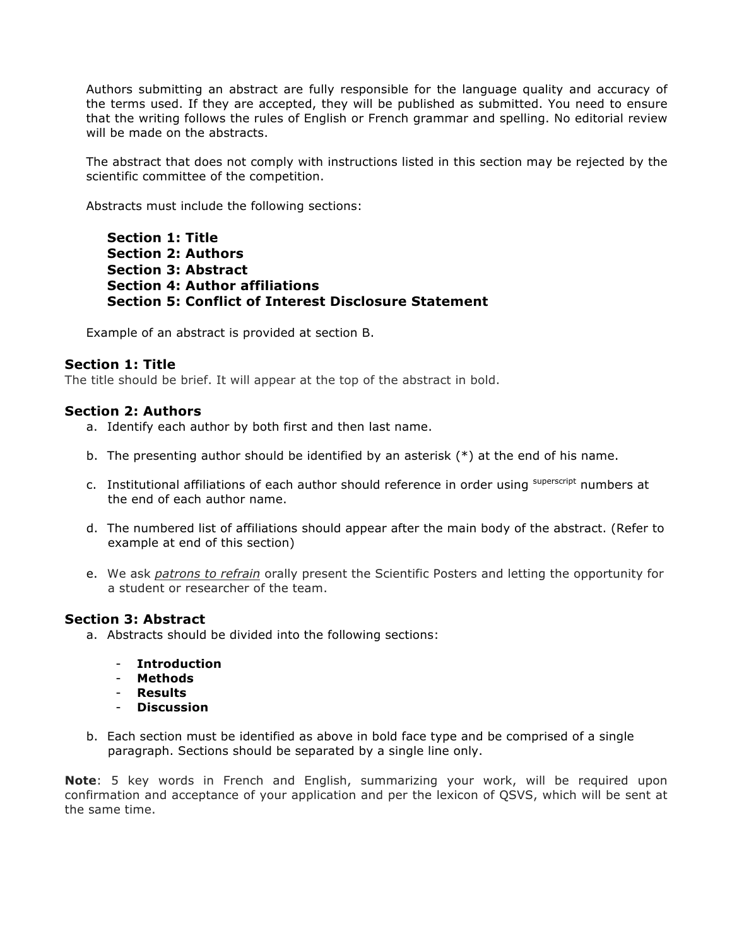Authors submitting an abstract are fully responsible for the language quality and accuracy of the terms used. If they are accepted, they will be published as submitted. You need to ensure that the writing follows the rules of English or French grammar and spelling. No editorial review will be made on the abstracts.

The abstract that does not comply with instructions listed in this section may be rejected by the scientific committee of the competition.

Abstracts must include the following sections:

**Section 1: Title Section 2: Authors Section 3: Abstract Section 4: Author affiliations Section 5: Conflict of Interest Disclosure Statement**

Example of an abstract is provided at section B.

# **Section 1: Title**

The title should be brief. It will appear at the top of the abstract in bold.

### **Section 2: Authors**

- a. Identify each author by both first and then last name.
- b. The presenting author should be identified by an asterisk (\*) at the end of his name.
- c. Institutional affiliations of each author should reference in order using superscript numbers at the end of each author name.
- d. The numbered list of affiliations should appear after the main body of the abstract. (Refer to example at end of this section)
- e. We ask *patrons to refrain* orally present the Scientific Posters and letting the opportunity for a student or researcher of the team.

### **Section 3: Abstract**

- a. Abstracts should be divided into the following sections:
	- **Introduction**
	- **Methods**
	- **Results**
	- **Discussion**
- b. Each section must be identified as above in bold face type and be comprised of a single paragraph. Sections should be separated by a single line only.

**Note**: 5 key words in French and English, summarizing your work, will be required upon confirmation and acceptance of your application and per the lexicon of QSVS, which will be sent at the same time.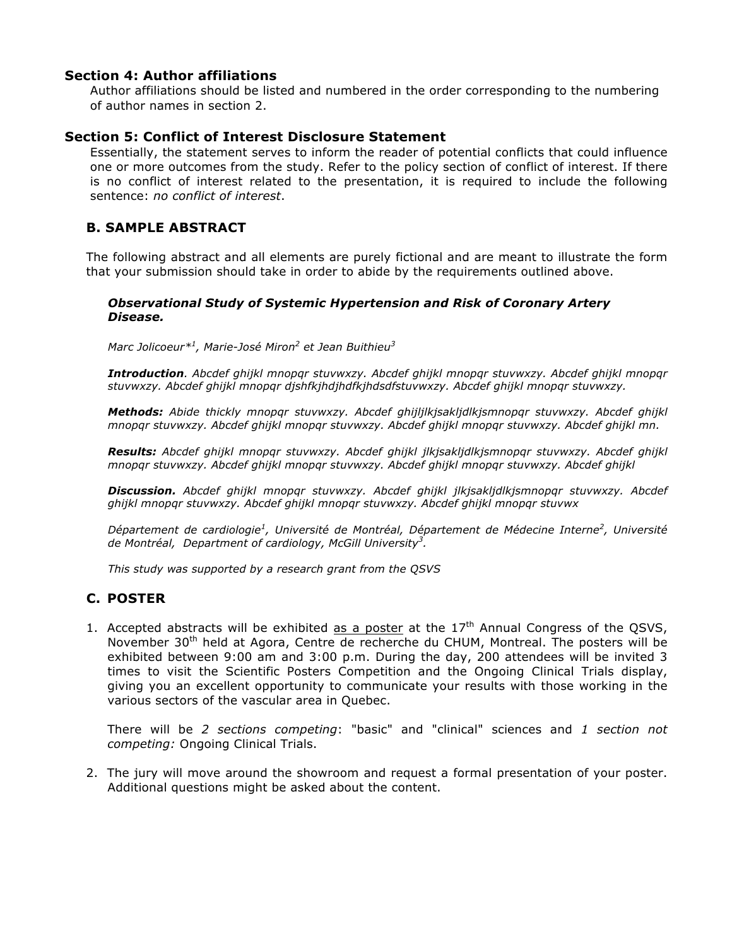# **Section 4: Author affiliations**

Author affiliations should be listed and numbered in the order corresponding to the numbering of author names in section 2.

# **Section 5: Conflict of Interest Disclosure Statement**

Essentially, the statement serves to inform the reader of potential conflicts that could influence one or more outcomes from the study. Refer to the policy section of conflict of interest. If there is no conflict of interest related to the presentation, it is required to include the following sentence: *no conflict of interest*.

# **B. SAMPLE ABSTRACT**

The following abstract and all elements are purely fictional and are meant to illustrate the form that your submission should take in order to abide by the requirements outlined above.

#### *Observational Study of Systemic Hypertension and Risk of Coronary Artery Disease.*

*Marc Jolicoeur\*<sup>1</sup> , Marie-José Miron<sup>2</sup> et Jean Buithieu<sup>3</sup>*

*Introduction. Abcdef ghijkl mnopqr stuvwxzy. Abcdef ghijkl mnopqr stuvwxzy. Abcdef ghijkl mnopqr stuvwxzy. Abcdef ghijkl mnopqr djshfkjhdjhdfkjhdsdfstuvwxzy. Abcdef ghijkl mnopqr stuvwxzy.*

*Methods: Abide thickly mnopqr stuvwxzy. Abcdef ghijljlkjsakljdlkjsmnopqr stuvwxzy. Abcdef ghijkl mnopqr stuvwxzy. Abcdef ghijkl mnopqr stuvwxzy. Abcdef ghijkl mnopqr stuvwxzy. Abcdef ghijkl mn.*

*Results: Abcdef ghijkl mnopqr stuvwxzy. Abcdef ghijkl jlkjsakljdlkjsmnopqr stuvwxzy. Abcdef ghijkl mnopqr stuvwxzy. Abcdef ghijkl mnopqr stuvwxzy. Abcdef ghijkl mnopqr stuvwxzy. Abcdef ghijkl*

*Discussion. Abcdef ghijkl mnopqr stuvwxzy. Abcdef ghijkl jlkjsakljdlkjsmnopqr stuvwxzy. Abcdef ghijkl mnopqr stuvwxzy. Abcdef ghijkl mnopqr stuvwxzy. Abcdef ghijkl mnopqr stuvwx*

*Département de cardiologie<sup>1</sup> , Université de Montréal, Département de Médecine Interne<sup>2</sup> , Université de Montréal, Department of cardiology, McGill University<sup>3</sup> .*

*This study was supported by a research grant from the QSVS*

# **C. POSTER**

1. Accepted abstracts will be exhibited as a poster at the  $17<sup>th</sup>$  Annual Congress of the QSVS, November 30<sup>th</sup> held at Agora, Centre de recherche du CHUM, Montreal. The posters will be exhibited between 9:00 am and 3:00 p.m. During the day, 200 attendees will be invited 3 times to visit the Scientific Posters Competition and the Ongoing Clinical Trials display, giving you an excellent opportunity to communicate your results with those working in the various sectors of the vascular area in Quebec.

There will be *2 sections competing*: "basic" and "clinical" sciences and *1 section not competing:* Ongoing Clinical Trials.

2. The jury will move around the showroom and request a formal presentation of your poster. Additional questions might be asked about the content.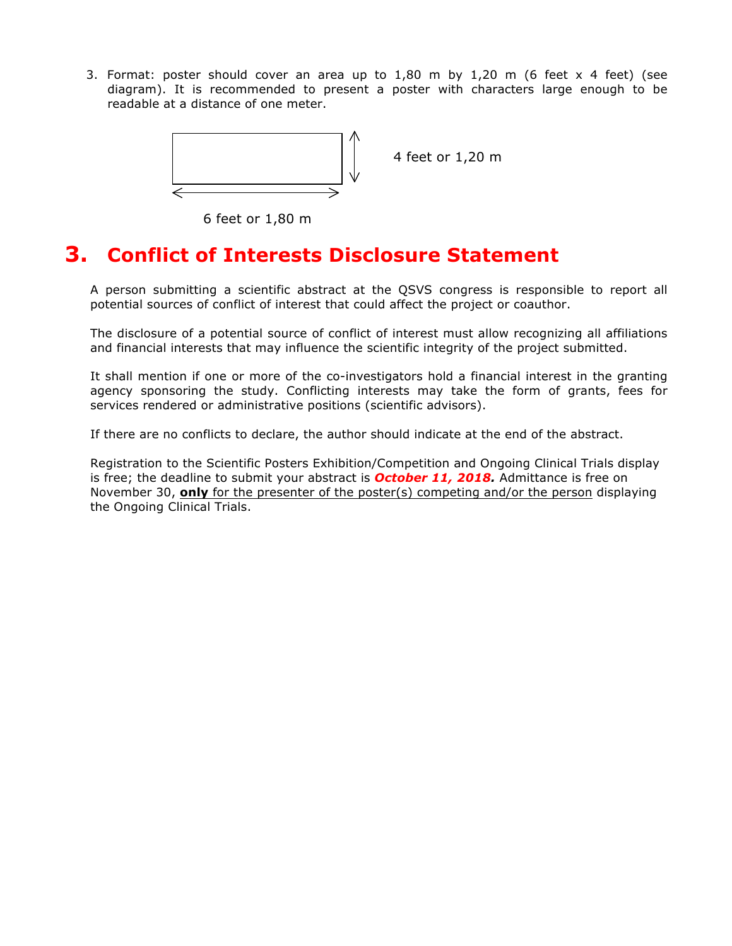3. Format: poster should cover an area up to 1,80 m by 1,20 m (6 feet x 4 feet) (see diagram). It is recommended to present a poster with characters large enough to be readable at a distance of one meter.



4 feet or 1,20 m

6 feet or 1,80 m

# **3. Conflict of Interests Disclosure Statement**

A person submitting a scientific abstract at the QSVS congress is responsible to report all potential sources of conflict of interest that could affect the project or coauthor.

The disclosure of a potential source of conflict of interest must allow recognizing all affiliations and financial interests that may influence the scientific integrity of the project submitted.

It shall mention if one or more of the co-investigators hold a financial interest in the granting agency sponsoring the study. Conflicting interests may take the form of grants, fees for services rendered or administrative positions (scientific advisors).

If there are no conflicts to declare, the author should indicate at the end of the abstract.

Registration to the Scientific Posters Exhibition/Competition and Ongoing Clinical Trials display is free; the deadline to submit your abstract is *October 11, 2018.* Admittance is free on November 30, **only** for the presenter of the poster(s) competing and/or the person displaying the Ongoing Clinical Trials.